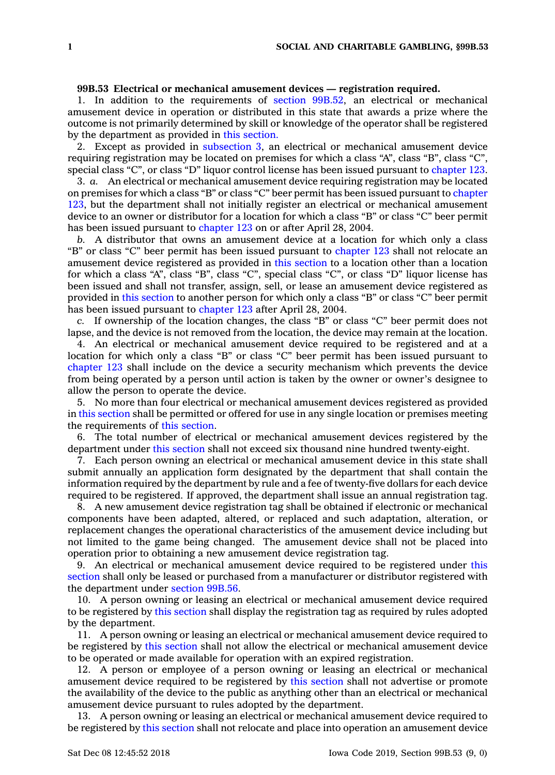## **99B.53 Electrical or mechanical amusement devices — registration required.**

1. In addition to the requirements of section [99B.52](https://www.legis.iowa.gov/docs/code/99B.52.pdf), an electrical or mechanical amusement device in operation or distributed in this state that awards <sup>a</sup> prize where the outcome is not primarily determined by skill or knowledge of the operator shall be registered by the department as provided in this [section.](https://www.legis.iowa.gov/docs/code/99B.53.pdf)

2. Except as provided in [subsection](https://www.legis.iowa.gov/docs/code/99B.53.pdf) 3, an electrical or mechanical amusement device requiring registration may be located on premises for which <sup>a</sup> class "A", class "B", class "C", special class "C", or class "D" liquor control license has been issued pursuant to [chapter](https://www.legis.iowa.gov/docs/code//123.pdf) 123.

3. *a.* An electrical or mechanical amusement device requiring registration may be located on premises for which <sup>a</sup> class "B" or class "C" beer permit has been issued pursuant to [chapter](https://www.legis.iowa.gov/docs/code//123.pdf) [123](https://www.legis.iowa.gov/docs/code//123.pdf), but the department shall not initially register an electrical or mechanical amusement device to an owner or distributor for <sup>a</sup> location for which <sup>a</sup> class "B" or class "C" beer permit has been issued pursuant to [chapter](https://www.legis.iowa.gov/docs/code//123.pdf) 123 on or after April 28, 2004.

*b.* A distributor that owns an amusement device at <sup>a</sup> location for which only <sup>a</sup> class "B" or class "C" beer permit has been issued pursuant to [chapter](https://www.legis.iowa.gov/docs/code//123.pdf) 123 shall not relocate an amusement device registered as provided in this [section](https://www.legis.iowa.gov/docs/code/99B.53.pdf) to <sup>a</sup> location other than <sup>a</sup> location for which <sup>a</sup> class "A", class "B", class "C", special class "C", or class "D" liquor license has been issued and shall not transfer, assign, sell, or lease an amusement device registered as provided in this [section](https://www.legis.iowa.gov/docs/code/99B.53.pdf) to another person for which only <sup>a</sup> class "B" or class "C" beer permit has been issued pursuant to [chapter](https://www.legis.iowa.gov/docs/code//123.pdf) 123 after April 28, 2004.

*c.* If ownership of the location changes, the class "B" or class "C" beer permit does not lapse, and the device is not removed from the location, the device may remain at the location.

4. An electrical or mechanical amusement device required to be registered and at <sup>a</sup> location for which only <sup>a</sup> class "B" or class "C" beer permit has been issued pursuant to [chapter](https://www.legis.iowa.gov/docs/code//123.pdf) 123 shall include on the device <sup>a</sup> security mechanism which prevents the device from being operated by <sup>a</sup> person until action is taken by the owner or owner's designee to allow the person to operate the device.

5. No more than four electrical or mechanical amusement devices registered as provided in this [section](https://www.legis.iowa.gov/docs/code/99B.53.pdf) shall be permitted or offered for use in any single location or premises meeting the requirements of this [section](https://www.legis.iowa.gov/docs/code/99B.53.pdf).

6. The total number of electrical or mechanical amusement devices registered by the department under this [section](https://www.legis.iowa.gov/docs/code/99B.53.pdf) shall not exceed six thousand nine hundred twenty-eight.

7. Each person owning an electrical or mechanical amusement device in this state shall submit annually an application form designated by the department that shall contain the information required by the department by rule and <sup>a</sup> fee of twenty-five dollars for each device required to be registered. If approved, the department shall issue an annual registration tag.

8. A new amusement device registration tag shall be obtained if electronic or mechanical components have been adapted, altered, or replaced and such adaptation, alteration, or replacement changes the operational characteristics of the amusement device including but not limited to the game being changed. The amusement device shall not be placed into operation prior to obtaining <sup>a</sup> new amusement device registration tag.

9. An electrical or mechanical amusement device required to be registered under [this](https://www.legis.iowa.gov/docs/code/99B.53.pdf) [section](https://www.legis.iowa.gov/docs/code/99B.53.pdf) shall only be leased or purchased from <sup>a</sup> manufacturer or distributor registered with the department under [section](https://www.legis.iowa.gov/docs/code/99B.56.pdf) 99B.56.

10. A person owning or leasing an electrical or mechanical amusement device required to be registered by this [section](https://www.legis.iowa.gov/docs/code/99B.53.pdf) shall display the registration tag as required by rules adopted by the department.

11. A person owning or leasing an electrical or mechanical amusement device required to be registered by this [section](https://www.legis.iowa.gov/docs/code/99B.53.pdf) shall not allow the electrical or mechanical amusement device to be operated or made available for operation with an expired registration.

12. A person or employee of <sup>a</sup> person owning or leasing an electrical or mechanical amusement device required to be registered by this [section](https://www.legis.iowa.gov/docs/code/99B.53.pdf) shall not advertise or promote the availability of the device to the public as anything other than an electrical or mechanical amusement device pursuant to rules adopted by the department.

13. A person owning or leasing an electrical or mechanical amusement device required to be registered by this [section](https://www.legis.iowa.gov/docs/code/99B.53.pdf) shall not relocate and place into operation an amusement device